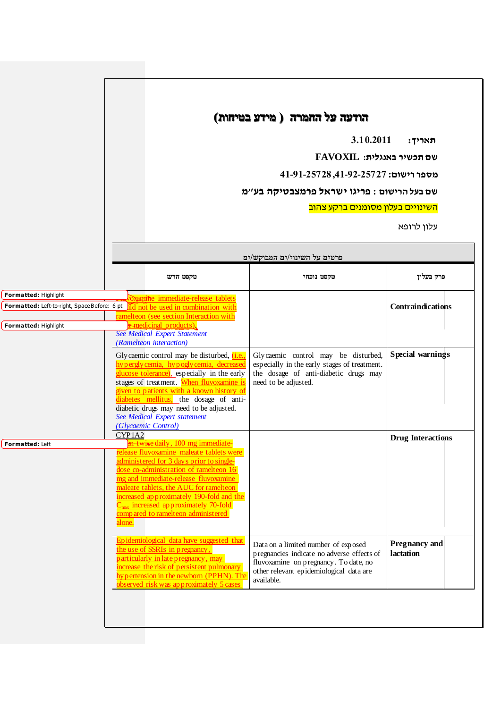## **הודעה על החמרה ) מידע בטיחות(**

**תאריך: 3.10.2011**

**שם תכשיר באנגלית: FAVOXIL** 

**מספר רישום: ,41-22-25222 41-21-25222**

**שם בעל הרישום : פריגו ישראל פרמצבטיקה בע"מ**

השינויים בעלון מסומנים ברקע צהוב

עלון לרופא

|                      | פרטים על השינוי/ים המבוקש/ים                                                                                                                                                                                                                                                                                                                                     |                                                                                                                                                                                     |                                   |
|----------------------|------------------------------------------------------------------------------------------------------------------------------------------------------------------------------------------------------------------------------------------------------------------------------------------------------------------------------------------------------------------|-------------------------------------------------------------------------------------------------------------------------------------------------------------------------------------|-----------------------------------|
|                      | טקסט חדש                                                                                                                                                                                                                                                                                                                                                         | טקסט נוכחי                                                                                                                                                                          | פרק בעלון                         |
| Formatted: Highlight | oxamine immediate-release tablets                                                                                                                                                                                                                                                                                                                                |                                                                                                                                                                                     |                                   |
|                      | Formatted: Left-to-right, SpaceBefore: 6 pt ild not be used in combination with                                                                                                                                                                                                                                                                                  |                                                                                                                                                                                     | <b>Contraindications</b>          |
|                      | ramelteon (see section Interaction with                                                                                                                                                                                                                                                                                                                          |                                                                                                                                                                                     |                                   |
| Formatted: Highlight | r medicinal products).                                                                                                                                                                                                                                                                                                                                           |                                                                                                                                                                                     |                                   |
|                      | <b>See Medical Expert Statement</b><br>(Ramelteon interaction)                                                                                                                                                                                                                                                                                                   |                                                                                                                                                                                     |                                   |
|                      | Glycaemic control may be disturbed, <i>(i.e.,</i><br>hy pergly cemia, hy pogly cemia, decreased<br>glucose tolerance), especially in the early<br>stages of treatment. When fluvoxamine is                                                                                                                                                                       | Glycaemic control may be disturbed,<br>especially in the early stages of treatment.<br>the dosage of anti-diabetic drugs may<br>need to be adjusted.                                | Special warnings                  |
|                      | given to patients with a known history of<br>diabetes mellitus, the dosage of anti-<br>diabetic drugs may need to be adjusted.<br>See Medical Expert statement<br>(Glycaemic Control)                                                                                                                                                                            |                                                                                                                                                                                     |                                   |
|                      | CYP1A2<br>en twice daily, 100 mg immediate-                                                                                                                                                                                                                                                                                                                      |                                                                                                                                                                                     | <b>Drug Interactions</b>          |
| Formatted: Left      | release fluvoxamine maleate tablets were<br>administered for 3 days prior to single-<br>dose co-administration of ramelteon 16<br>mg and immediate-release fluvoxamine<br>maleate tablets, the AUC for ramelteon<br>increased approximately 190-fold and the<br>$C_{\text{max}}$ increased approximately 70-fold<br>compared to ramelteon administered<br>alone. |                                                                                                                                                                                     |                                   |
|                      | Epidemiological data have suggested that<br>the use of SSRIs in pregnancy,<br>particularly in late pregnancy, may<br>increase the risk of persistent pulmonary<br>hy pertension in the newborn (PPHN). The<br>observed risk was approximately 5 cases                                                                                                            | Data on a limited number of exposed<br>pregnancies indicate no adverse effects of<br>fluvoxamine on pregnancy. To date, no<br>other relevant epidemiological data are<br>available. | <b>Pregnancy and</b><br>lactation |
|                      |                                                                                                                                                                                                                                                                                                                                                                  |                                                                                                                                                                                     |                                   |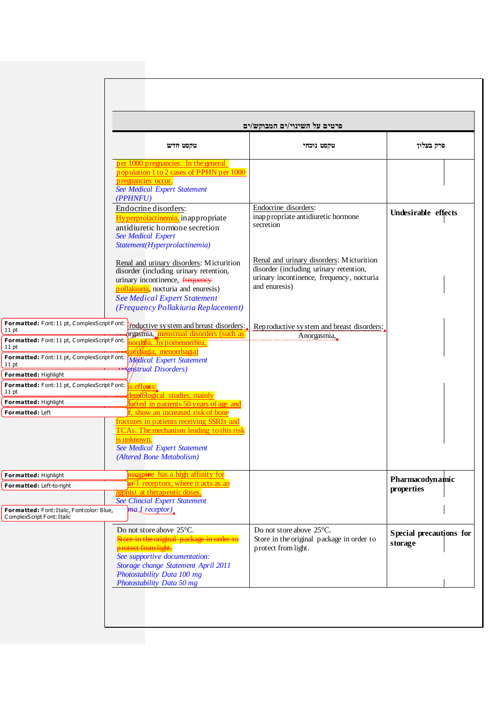|                                                                                                                             |                                                                                                                                                                                                                                                                                            | פרטים על השינוי/ים המבוקש/ים                                                                                                                     |                                    |  |
|-----------------------------------------------------------------------------------------------------------------------------|--------------------------------------------------------------------------------------------------------------------------------------------------------------------------------------------------------------------------------------------------------------------------------------------|--------------------------------------------------------------------------------------------------------------------------------------------------|------------------------------------|--|
|                                                                                                                             | טקסט חדש                                                                                                                                                                                                                                                                                   | טקסט נוכחי                                                                                                                                       | פרק בעלון                          |  |
|                                                                                                                             | per 1000 pregnancies. In the general<br>population 1 to 2 cases of PPHN per 1000<br>pregnancies occur.<br><b>See Medical Expert Statement</b><br>(PPHNFU)                                                                                                                                  |                                                                                                                                                  |                                    |  |
|                                                                                                                             | Endocrine disorders:<br>Hyperprolactinemia, inappropriate<br>antidiuretic hormone secretion<br><b>See Medical Expert</b><br>Statement(Hyperprolactinemia)                                                                                                                                  | Endocrine disorders:<br>inappropriate antidiuretic hormone<br>secretion                                                                          | Undesirable effects                |  |
|                                                                                                                             | Renal and urinary disorders: Micturition<br>disorder (including urinary retention,<br>urinary incontinence, frequency<br>pollakiuria, nocturia and enuresis)<br><b>See Medical Expert Statement</b><br>(Frequency Pollakiuria Replacement)                                                 | Renal and urinary disorders: Micturition<br>disorder (including urinary retention,<br>urinary incontinence, frequency, nocturia<br>and enuresis) |                                    |  |
| Formatted: Font: 11 pt, ComplexScript Font:<br>$11$ pt<br>Formatted: Font: 11 pt, ComplexScript Font:<br>$11$ pt            | roductive system and breast disorders:<br>rgasmia, menstrual disorders (such as<br>northéa, hypomenorrhea,<br>orrhagia, menorrhagia)                                                                                                                                                       | Reproductive system and breast disorders:<br>Anorgasmia,                                                                                         |                                    |  |
| Formatted: Font: 11 pt, ComplexScript Font:<br>11 pt<br>Formatted: Highlight<br>Formatted: Font: 11 pt, ComplexScript Font: | <b>Medical Expert Statement</b><br>enstrual Disorders)                                                                                                                                                                                                                                     |                                                                                                                                                  |                                    |  |
| $11$ pt<br>Formatted: Highlight<br>Formatted: Left                                                                          | s effects:<br>emiólogical studies, mainly<br>worted in patients 50 years of age and<br>show an increased risk of bone<br>fractures in patients receiving SSRIs and<br>TCAs. The mechanism leading to this risk<br>is unknown.<br>See Medical Expert Statement<br>(Altered Bone Metabolism) |                                                                                                                                                  |                                    |  |
| Formatted: Highlight<br>Formatted: Left-to-right<br>Formatted: Font: Italic, Fontcolor: Blue,<br>ComplexScript Font: Italic | <b>Examine</b> has a high affinity for<br>a-1 receptors, where it acts as an<br>agonist at therapeutic doses.<br><b>See Clincial Expert Statement</b><br>ma.1 receptor)                                                                                                                    |                                                                                                                                                  | Pharmacodynamic<br>properties      |  |
|                                                                                                                             | Do not store above 25°C.<br>Store in the original package in order to<br>protect from light.<br>See supportive documentation:<br>Storage change Statement April 2011<br>Photostability Data 100 mg                                                                                         | Do not store above 25°C.<br>Store in the original package in order to<br>protect from light.                                                     | Special precautions for<br>storage |  |